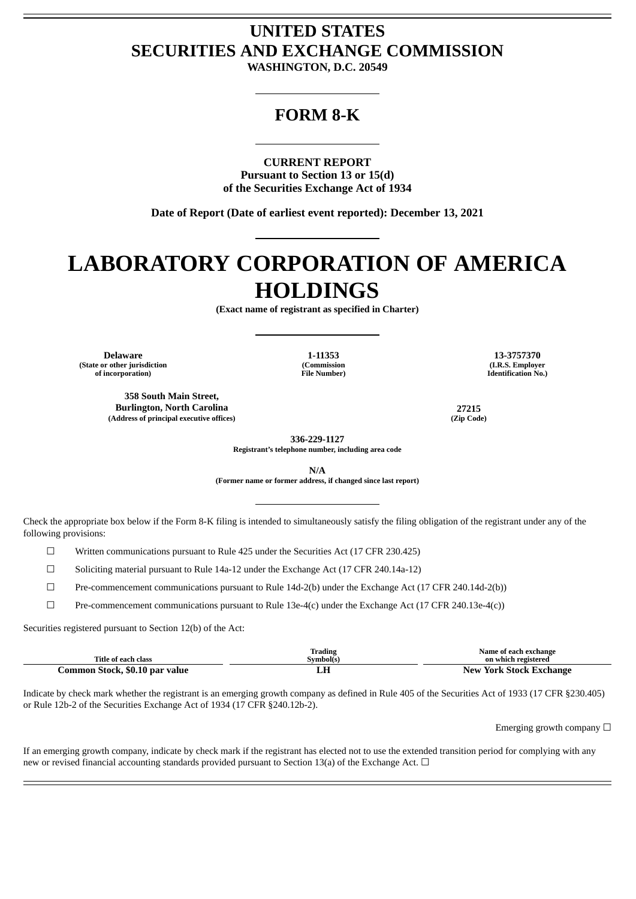## **UNITED STATES SECURITIES AND EXCHANGE COMMISSION**

**WASHINGTON, D.C. 20549**

### **FORM 8-K**

**CURRENT REPORT Pursuant to Section 13 or 15(d) of the Securities Exchange Act of 1934**

**Date of Report (Date of earliest event reported): December 13, 2021**

# **LABORATORY CORPORATION OF AMERICA HOLDINGS**

**(Exact name of registrant as specified in Charter)**

**Delaware 1-11353 13-3757370 (State or other jurisdiction of incorporation)**

**358 South Main Street, Burlington, North Carolina 27215 (Address of principal executive offices) (Zip Code)**

**(Commission File Number)**

**(I.R.S. Employer Identification No.)**

**336-229-1127 Registrant's telephone number, including area code**

**N/A**

**(Former name or former address, if changed since last report)**

Check the appropriate box below if the Form 8-K filing is intended to simultaneously satisfy the filing obligation of the registrant under any of the following provisions:

☐ Written communications pursuant to Rule 425 under the Securities Act (17 CFR 230.425)

 $\Box$  Soliciting material pursuant to Rule 14a-12 under the Exchange Act (17 CFR 240.14a-12)

☐ Pre-commencement communications pursuant to Rule 14d-2(b) under the Exchange Act (17 CFR 240.14d-2(b))

 $\Box$  Pre-commencement communications pursuant to Rule 13e-4(c) under the Exchange Act (17 CFR 240.13e-4(c))

Securities registered pursuant to Section 12(b) of the Act:

| Title of each class            | <b>Trading</b><br>Symbol(s) | Name of each exchange<br>on which registered   |
|--------------------------------|-----------------------------|------------------------------------------------|
|                                |                             |                                                |
| Common Stock, \$0.10 par value | LН                          | <b>New</b><br><sup>,</sup> York Stock Exchange |

Indicate by check mark whether the registrant is an emerging growth company as defined in Rule 405 of the Securities Act of 1933 (17 CFR §230.405) or Rule 12b-2 of the Securities Exchange Act of 1934 (17 CFR §240.12b-2).

Emerging growth company  $\Box$ 

If an emerging growth company, indicate by check mark if the registrant has elected not to use the extended transition period for complying with any new or revised financial accounting standards provided pursuant to Section 13(a) of the Exchange Act.  $\Box$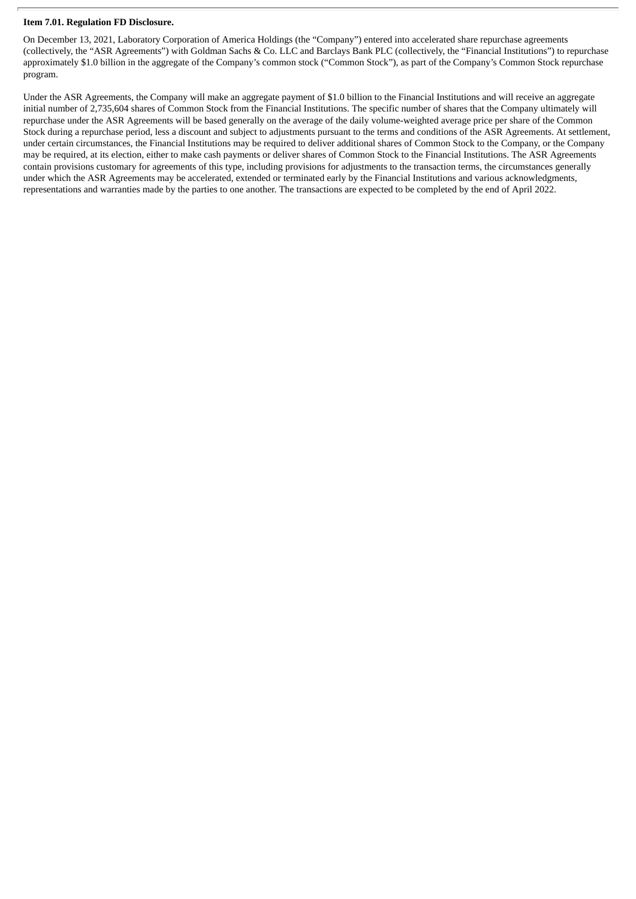#### **Item 7.01. Regulation FD Disclosure.**

On December 13, 2021, Laboratory Corporation of America Holdings (the "Company") entered into accelerated share repurchase agreements (collectively, the "ASR Agreements") with Goldman Sachs & Co. LLC and Barclays Bank PLC (collectively, the "Financial Institutions") to repurchase approximately \$1.0 billion in the aggregate of the Company's common stock ("Common Stock"), as part of the Company's Common Stock repurchase program.

Under the ASR Agreements, the Company will make an aggregate payment of \$1.0 billion to the Financial Institutions and will receive an aggregate initial number of 2,735,604 shares of Common Stock from the Financial Institutions. The specific number of shares that the Company ultimately will repurchase under the ASR Agreements will be based generally on the average of the daily volume-weighted average price per share of the Common Stock during a repurchase period, less a discount and subject to adjustments pursuant to the terms and conditions of the ASR Agreements. At settlement, under certain circumstances, the Financial Institutions may be required to deliver additional shares of Common Stock to the Company, or the Company may be required, at its election, either to make cash payments or deliver shares of Common Stock to the Financial Institutions. The ASR Agreements contain provisions customary for agreements of this type, including provisions for adjustments to the transaction terms, the circumstances generally under which the ASR Agreements may be accelerated, extended or terminated early by the Financial Institutions and various acknowledgments, representations and warranties made by the parties to one another. The transactions are expected to be completed by the end of April 2022.